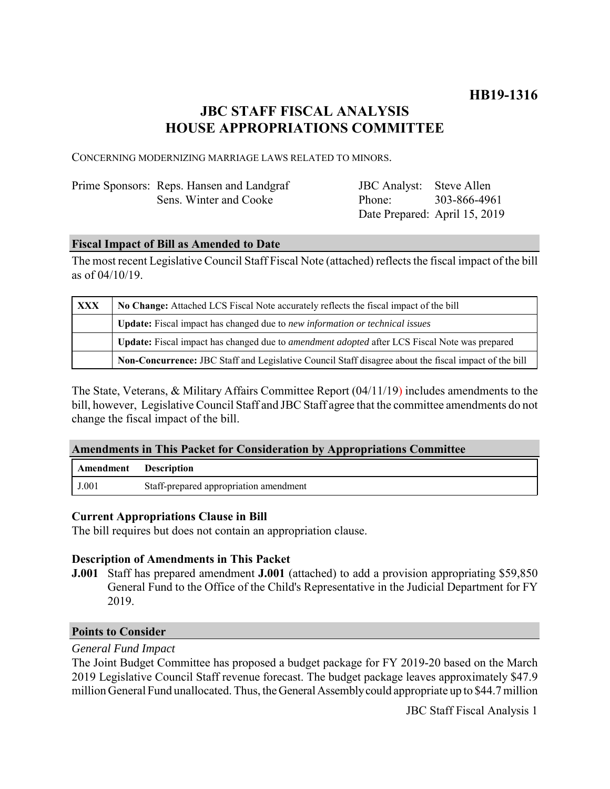# **JBC STAFF FISCAL ANALYSIS HOUSE APPROPRIATIONS COMMITTEE**

CONCERNING MODERNIZING MARRIAGE LAWS RELATED TO MINORS.

| Prime Sponsors: Reps. Hansen and Landgraf | JBC Analyst: Steve Allen      |  |
|-------------------------------------------|-------------------------------|--|
| Sens. Winter and Cooke                    | Phone: 303-866-4961           |  |
|                                           | Date Prepared: April 15, 2019 |  |

### **Fiscal Impact of Bill as Amended to Date**

The most recent Legislative Council Staff Fiscal Note (attached) reflects the fiscal impact of the bill as of 04/10/19.

| <b>XXX</b> | No Change: Attached LCS Fiscal Note accurately reflects the fiscal impact of the bill                 |  |
|------------|-------------------------------------------------------------------------------------------------------|--|
|            | Update: Fiscal impact has changed due to new information or technical issues                          |  |
|            | Update: Fiscal impact has changed due to <i>amendment adopted</i> after LCS Fiscal Note was prepared  |  |
|            | Non-Concurrence: JBC Staff and Legislative Council Staff disagree about the fiscal impact of the bill |  |

The State, Veterans, & Military Affairs Committee Report (04/11/19) includes amendments to the bill, however, Legislative Council Staff and JBC Staff agree that the committee amendments do not change the fiscal impact of the bill.

### **Amendments in This Packet for Consideration by Appropriations Committee**

| <b>Amendment</b> Description |                                        |
|------------------------------|----------------------------------------|
| J.001                        | Staff-prepared appropriation amendment |

# **Current Appropriations Clause in Bill**

The bill requires but does not contain an appropriation clause.

# **Description of Amendments in This Packet**

**J.001** Staff has prepared amendment **J.001** (attached) to add a provision appropriating \$59,850 General Fund to the Office of the Child's Representative in the Judicial Department for FY 2019.

### **Points to Consider**

# *General Fund Impact*

The Joint Budget Committee has proposed a budget package for FY 2019-20 based on the March 2019 Legislative Council Staff revenue forecast. The budget package leaves approximately \$47.9 million General Fund unallocated. Thus, the General Assembly could appropriate up to \$44.7 million